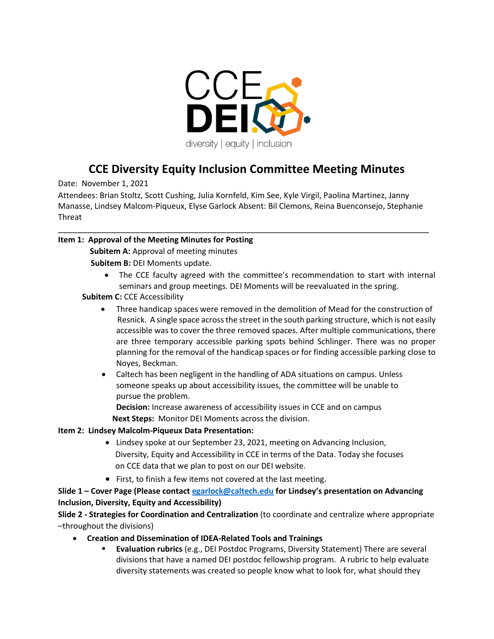

# **CCE Diversity Equity Inclusion Committee Meeting Minutes**

Date: November 1, 2021

Attendees: Brian Stoltz, Scott Cushing, Julia Kornfeld, Kim See, Kyle Virgil, Paolina Martinez, Janny Manasse, Lindsey Malcom-Piqueux, Elyse Garlock Absent: Bil Clemons, Reina Buenconsejo, Stephanie Threat

\_\_\_\_\_\_\_\_\_\_\_\_\_\_\_\_\_\_\_\_\_\_\_\_\_\_\_\_\_\_\_\_\_\_\_\_\_\_\_\_\_\_\_\_\_\_\_\_\_\_\_\_\_\_\_\_\_\_\_\_\_\_\_\_\_\_\_\_\_\_\_\_\_\_\_\_\_

# **Item 1: Approval of the Meeting Minutes for Posting**

**Subitem A:** Approval of meeting minutes **Subitem B:** DEI Moments update.

- The CCE faculty agreed with the committee's recommendation to start with internal seminars and group meetings. DEI Moments will be reevaluated in the spring.
- **Subitem C: CCE Accessibility** 
	- Three handicap spaces were removed in the demolition of Mead for the construction of Resnick. A single space across the street in the south parking structure, which is not easily accessible was to cover the three removed spaces. After multiple communications, there are three temporary accessible parking spots behind Schlinger. There was no proper planning for the removal of the handicap spaces or for finding accessible parking close to Noyes, Beckman.
	- Caltech has been negligent in the handling of ADA situations on campus. Unless someone speaks up about accessibility issues, the committee will be unable to pursue the problem.

**Decision:** Increase awareness of accessibility issues in CCE and on campus

 **Next Steps:** Monitor DEI Moments across the division.

# **Item 2: Lindsey Malcolm-Piqueux Data Presentation:**

- Lindsey spoke at our September 23, 2021, meeting on Advancing Inclusion, Diversity, Equity and Accessibility in CCE in terms of the Data. Today she focuses on CCE data that we plan to post on our DEI website.
- First, to finish a few items not covered at the last meeting.

**Slide 1 – Cover Page (Please contact [egarlock@caltech.edu](mailto:egarlock@caltech.edu) for Lindsey's presentation on Advancing Inclusion, Diversity, Equity and Accessibility)**

**Slide 2 - Strategies for Coordination and Centralization** (to coordinate and centralize where appropriate –throughout the divisions)

- **Creation and Dissemination of IDEA-Related Tools and Trainings** 
	- **Evaluation rubrics** (e.g., DEI Postdoc Programs, Diversity Statement) There are several divisions that have a named DEI postdoc fellowship program. A rubric to help evaluate diversity statements was created so people know what to look for, what should they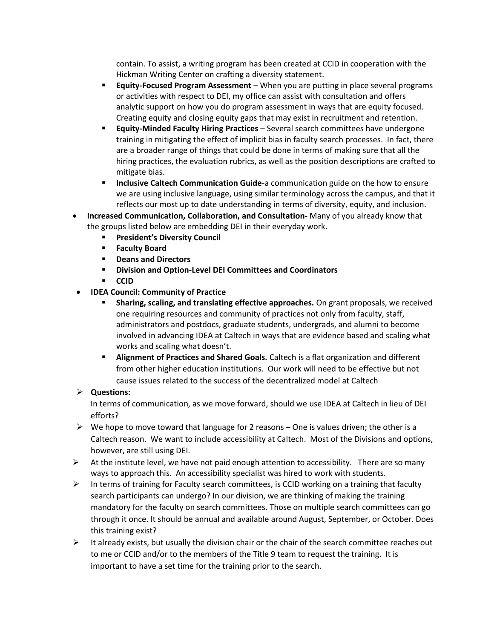contain. To assist, a writing program has been created at CCID in cooperation with the Hickman Writing Center on crafting a diversity statement.

- **Equity-Focused Program Assessment** When you are putting in place several programs or activities with respect to DEI, my office can assist with consultation and offers analytic support on how you do program assessment in ways that are equity focused. Creating equity and closing equity gaps that may exist in recruitment and retention.
- **Equity-Minded Faculty Hiring Practices** Several search committees have undergone training in mitigating the effect of implicit bias in faculty search processes. In fact, there are a broader range of things that could be done in terms of making sure that all the hiring practices, the evaluation rubrics, as well as the position descriptions are crafted to mitigate bias.
- **EXEDED Inclusive Caltech Communication Guide-a communication guide on the how to ensure** we are using inclusive language, using similar terminology across the campus, and that it reflects our most up to date understanding in terms of diversity, equity, and inclusion.
- **Increased Communication, Collaboration, and Consultation-** Many of you already know that the groups listed below are embedding DEI in their everyday work.
	- **President's Diversity Council**
	- **Faculty Board**
	- **Deans and Directors**
	- **Division and Option-Level DEI Committees and Coordinators**
	- **CCID**
- **IDEA Council: Community of Practice** 
	- **EXED** Sharing, scaling, and translating effective approaches. On grant proposals, we received one requiring resources and community of practices not only from faculty, staff, administrators and postdocs, graduate students, undergrads, and alumni to become involved in advancing IDEA at Caltech in ways that are evidence based and scaling what works and scaling what doesn't.
	- **EXEDENT Alignment of Practices and Shared Goals.** Caltech is a flat organization and different from other higher education institutions. Our work will need to be effective but not cause issues related to the success of the decentralized model at Caltech

# ➢ **Questions:**

In terms of communication, as we move forward, should we use IDEA at Caltech in lieu of DEI efforts?

- $\triangleright$  We hope to move toward that language for 2 reasons One is values driven; the other is a Caltech reason. We want to include accessibility at Caltech. Most of the Divisions and options, however, are still using DEI.
- $\triangleright$  At the institute level, we have not paid enough attention to accessibility. There are so many ways to approach this. An accessibility specialist was hired to work with students.
- ➢ In terms of training for Faculty search committees, is CCID working on a training that faculty search participants can undergo? In our division, we are thinking of making the training mandatory for the faculty on search committees. Those on multiple search committees can go through it once. It should be annual and available around August, September, or October. Does this training exist?
- $\triangleright$  It already exists, but usually the division chair or the chair of the search committee reaches out to me or CCID and/or to the members of the Title 9 team to request the training. It is important to have a set time for the training prior to the search.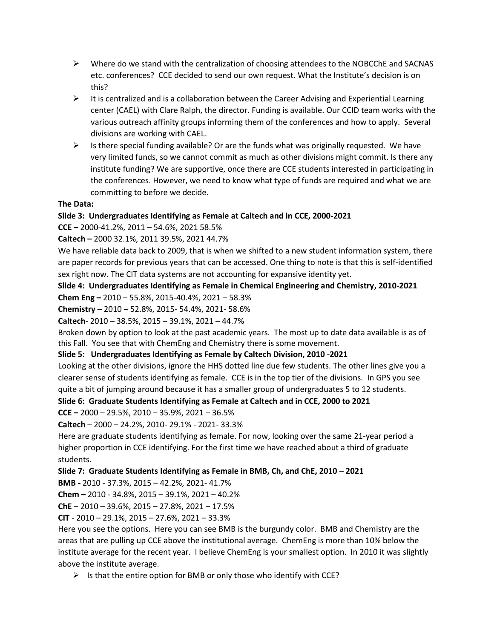- ➢ Where do we stand with the centralization of choosing attendees to the NOBCChE and SACNAS etc. conferences? CCE decided to send our own request. What the Institute's decision is on this?
- $\triangleright$  It is centralized and is a collaboration between the Career Advising and Experiential Learning center (CAEL) with Clare Ralph, the director. Funding is available. Our CCID team works with the various outreach affinity groups informing them of the conferences and how to apply. Several divisions are working with CAEL.
- $\triangleright$  Is there special funding available? Or are the funds what was originally requested. We have very limited funds, so we cannot commit as much as other divisions might commit. Is there any institute funding? We are supportive, once there are CCE students interested in participating in the conferences. However, we need to know what type of funds are required and what we are committing to before we decide.

### **The Data:**

# **Slide 3: Undergraduates Identifying as Female at Caltech and in CCE, 2000-2021**

**CCE –** 2000-41.2%, 2011 – 54.6%, 2021 58.5%

**Caltech –** 2000 32.1%, 2011 39.5%, 2021 44.7%

We have reliable data back to 2009, that is when we shifted to a new student information system, there are paper records for previous years that can be accessed. One thing to note is that this is self-identified sex right now. The CIT data systems are not accounting for expansive identity yet.

**Slide 4: Undergraduates Identifying as Female in Chemical Engineering and Chemistry, 2010-2021** 

**Chem Eng –** 2010 – 55.8%, 2015-40.4%, 2021 – 58.3%

**Chemistry** – 2010 – 52.8%, 2015- 54.4%, 2021- 58.6%

**Caltech**- 2010 – 38.5%, 2015 – 39.1%, 2021 – 44.7%

Broken down by option to look at the past academic years. The most up to date data available is as of this Fall. You see that with ChemEng and Chemistry there is some movement.

**Slide 5: Undergraduates Identifying as Female by Caltech Division, 2010 -2021**

Looking at the other divisions, ignore the HHS dotted line due few students. The other lines give you a clearer sense of students identifying as female. CCE is in the top tier of the divisions. In GPS you see quite a bit of jumping around because it has a smaller group of undergraduates 5 to 12 students.

**Slide 6: Graduate Students Identifying as Female at Caltech and in CCE, 2000 to 2021** 

**CCE –** 2000 – 29.5%, 2010 – 35.9%, 2021 – 36.5%

**Caltech** – 2000 – 24.2%, 2010- 29.1% - 2021- 33.3%

Here are graduate students identifying as female. For now, looking over the same 21-year period a higher proportion in CCE identifying. For the first time we have reached about a third of graduate students.

**Slide 7: Graduate Students Identifying as Female in BMB, Ch, and ChE, 2010 – 2021** 

**BMB -** 2010 - 37.3%, 2015 – 42.2%, 2021- 41.7%

**Chem –** 2010 - 34.8%, 2015 – 39.1%, 2021 – 40.2%

**ChE** – 2010 – 39.6%, 2015 – 27.8%, 2021 – 17.5%

**CIT** - 2010 – 29.1%, 2015 – 27.6%, 2021 – 33.3%

Here you see the options. Here you can see BMB is the burgundy color. BMB and Chemistry are the areas that are pulling up CCE above the institutional average. ChemEng is more than 10% below the institute average for the recent year. I believe ChemEng is your smallest option. In 2010 it was slightly above the institute average.

 $\triangleright$  Is that the entire option for BMB or only those who identify with CCE?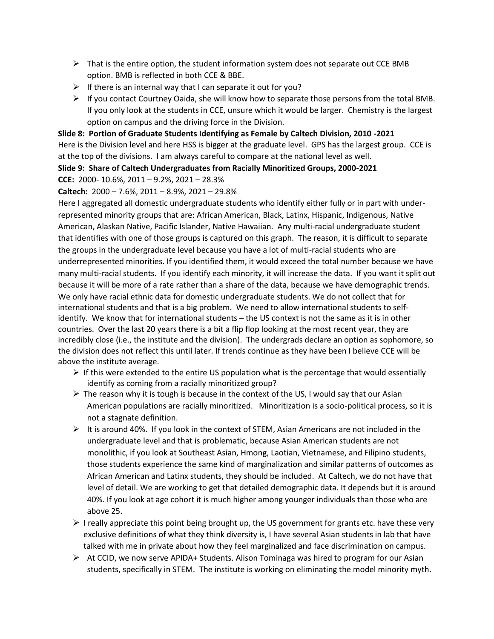- $\triangleright$  That is the entire option, the student information system does not separate out CCE BMB option. BMB is reflected in both CCE & BBE.
- $\triangleright$  If there is an internal way that I can separate it out for you?
- $\triangleright$  If you contact Courtney Oaida, she will know how to separate those persons from the total BMB. If you only look at the students in CCE, unsure which it would be larger. Chemistry is the largest option on campus and the driving force in the Division.

**Slide 8: Portion of Graduate Students Identifying as Female by Caltech Division, 2010 -2021** Here is the Division level and here HSS is bigger at the graduate level. GPS has the largest group. CCE is at the top of the divisions. I am always careful to compare at the national level as well.

**Slide 9: Share of Caltech Undergraduates from Racially Minoritized Groups, 2000-2021**

**CCE:** 2000- 10.6%, 2011 – 9.2%, 2021 – 28.3%

### **Caltech:** 2000 – 7.6%, 2011 – 8.9%, 2021 – 29.8%

Here I aggregated all domestic undergraduate students who identify either fully or in part with underrepresented minority groups that are: African American, Black, Latinx, Hispanic, Indigenous, Native American, Alaskan Native, Pacific Islander, Native Hawaiian. Any multi-racial undergraduate student that identifies with one of those groups is captured on this graph. The reason, it is difficult to separate the groups in the undergraduate level because you have a lot of multi-racial students who are underrepresented minorities. If you identified them, it would exceed the total number because we have many multi-racial students. If you identify each minority, it will increase the data. If you want it split out because it will be more of a rate rather than a share of the data, because we have demographic trends. We only have racial ethnic data for domestic undergraduate students. We do not collect that for international students and that is a big problem. We need to allow international students to selfidentify. We know that for international students – the US context is not the same as it is in other countries. Over the last 20 years there is a bit a flip flop looking at the most recent year, they are incredibly close (i.e., the institute and the division). The undergrads declare an option as sophomore, so the division does not reflect this until later. If trends continue as they have been I believe CCE will be above the institute average.

- $\triangleright$  If this were extended to the entire US population what is the percentage that would essentially identify as coming from a racially minoritized group?
- $\triangleright$  The reason why it is tough is because in the context of the US, I would say that our Asian American populations are racially minoritized. Minoritization is a socio-political process, so it is not a stagnate definition.
- $\triangleright$  It is around 40%. If you look in the context of STEM, Asian Americans are not included in the undergraduate level and that is problematic, because Asian American students are not monolithic, if you look at Southeast Asian, Hmong, Laotian, Vietnamese, and Filipino students, those students experience the same kind of marginalization and similar patterns of outcomes as African American and Latinx students, they should be included. At Caltech, we do not have that level of detail. We are working to get that detailed demographic data. It depends but it is around 40%. If you look at age cohort it is much higher among younger individuals than those who are above 25.
- $\triangleright$  I really appreciate this point being brought up, the US government for grants etc. have these very exclusive definitions of what they think diversity is, I have several Asian students in lab that have talked with me in private about how they feel marginalized and face discrimination on campus.
- ➢ At CCID, we now serve APIDA+ Students. Alison Tominaga was hired to program for our Asian students, specifically in STEM. The institute is working on eliminating the model minority myth.